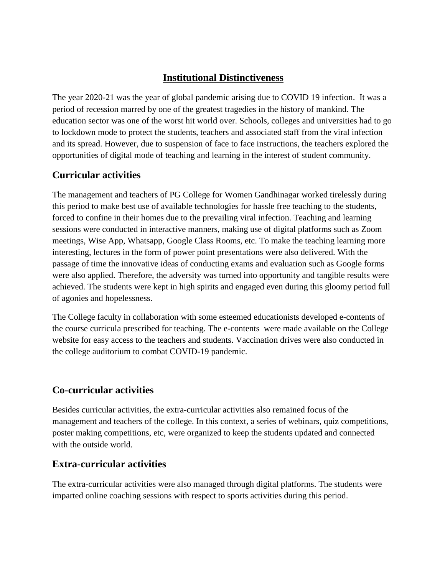## **Institutional Distinctiveness**

The year 2020-21 was the year of global pandemic arising due to COVID 19 infection. It was a period of recession marred by one of the greatest tragedies in the history of mankind. The education sector was one of the worst hit world over. Schools, colleges and universities had to go to lockdown mode to protect the students, teachers and associated staff from the viral infection and its spread. However, due to suspension of face to face instructions, the teachers explored the opportunities of digital mode of teaching and learning in the interest of student community.

# **Curricular activities**

The management and teachers of PG College for Women Gandhinagar worked tirelessly during this period to make best use of available technologies for hassle free teaching to the students, forced to confine in their homes due to the prevailing viral infection. Teaching and learning sessions were conducted in interactive manners, making use of digital platforms such as Zoom meetings, Wise App, Whatsapp, Google Class Rooms, etc. To make the teaching learning more interesting, lectures in the form of power point presentations were also delivered. With the passage of time the innovative ideas of conducting exams and evaluation such as Google forms were also applied. Therefore, the adversity was turned into opportunity and tangible results were achieved. The students were kept in high spirits and engaged even during this gloomy period full of agonies and hopelessness.

The College faculty in collaboration with some esteemed educationists developed e-contents of the course curricula prescribed for teaching. The e-contents were made available on the College website for easy access to the teachers and students. Vaccination drives were also conducted in the college auditorium to combat COVID-19 pandemic.

# **Co-curricular activities**

Besides curricular activities, the extra-curricular activities also remained focus of the management and teachers of the college. In this context, a series of webinars, quiz competitions, poster making competitions, etc, were organized to keep the students updated and connected with the outside world.

### **Extra-curricular activities**

The extra-curricular activities were also managed through digital platforms. The students were imparted online coaching sessions with respect to sports activities during this period.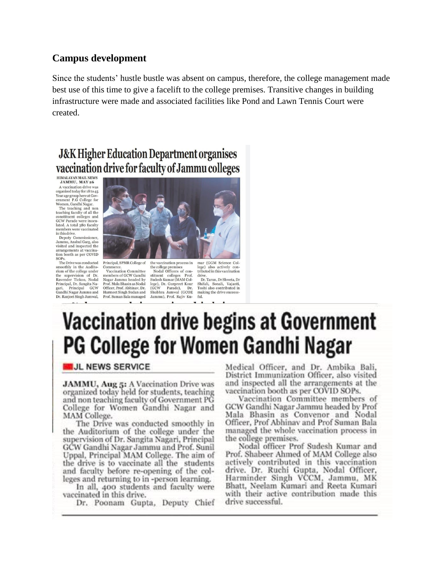#### **Campus development**

Since the students' hustle bustle was absent on campus, therefore, the college management made best use of this time to give a facelift to the college premises. Transitive changes in building infrastructure were made and associated facilities like Pond and Lawn Tennis Court were created.

# **J&K Higher Education Department organises** vaccination drive for faculty of Jammu colleges

HIMALAYAN MAIL NEWS<br>JAMMU, MAY 26

A vaccination drive was A vaccination drive was<br>organized today for 18 to 45<br>Year age group here at Gov-<br>ernment P.G College for Women, Gandhi Nagar. The teaching and non<br>teaching faculty of all the<br>constituent colleges and<br>GCW Parade were inocu-

lated. A total 380 faculty members were vaccinated in this drive.

in this drive.<br>Deputy Commissioner,<br>Jammu, Anshul Garg, also<br>visited and inspected the arrangements at vaccina tion booth as per COVID SOP.

SOFS.<br>The Drive was conducted<br>smoothly in the Audito-<br>rium of the college under rum of the college under<br>the supervision of Dr.<br>Ravender Tickoo, Nodal<br>Principal, Dr. Sangita Nagari, Principal GCW<br>Gandhi Nagar Jammu and Dr. Ranjeet Singh Jamwal,



Principal, SPMR College of Vaccination Committee members of GCW Gandhi Magar Jammu headed by<br>Prof. Mala Bhasin as Nodal<br>Officer, Prof. Abhinav, Dr. Harmeet Singh Sudan and Prof. Suman Bala managed

the vaccination process in  $% \left\vert \cdot \right\rangle$ the college premises<br>Nodal Officers of con-Nodal Officers of construction<br>Sudesh Kumar (MAM College), Dr. Gurpreet Kour<br>(GCW Parade), Dr. Shubhra Jamwal (GCOE Jammu), Prof. Rajiv Ku $f_{11}$ 

mar (GGM Science College) also actively contributed in this vaccination drive. Dr. Tarun, Dr Shweta, Dr.

Dr. 1 arun, Dr Shweta, Dr<br>Shifali, Sonali, Vajanti,<br>Toshi also contributed in<br>making the drive success-

# **Vaccination drive begins at Government** PG College for Women Gandhi Nagar

#### **UL NEWS SERVICE**

JAMMU, Aug 5: A Vaccination Drive was organized today held for students, teaching and non teaching faculty of Government PG College for Women Gandhi Nagar and MAM College.

The Drive was conducted smoothly in the Auditorium of the college under the supervision of Dr. Sangita Nagari, Principal GCW Gandhi Nagar Jammu and Prof. Sunil Uppal, Principal MAM College. The aim of the drive is to vaccinate all the students<br>and faculty before re-opening of the colleges and returning to in -person learning.

In all, 400 students and faculty were vaccinated in this drive.

Dr. Poonam Gupta, Deputy Chief

Medical Officer, and Dr. Ambika Bali, District Immunization Officer, also visited and inspected all the arrangements at the vaccination booth as per COVID SOPs.

Vaccination Committee members of GCW Gandhi Nagar Jammu headed by Prof Mala Bhasin as Convenor and Nodal Officer, Prof Abhinav and Prof Suman Bala managed the whole vaccination process in the college premises.

Nodal officer Prof Sudesh Kumar and Prof. Shabeer Ahmed of MAM College also actively contributed in this vaccination drive. Dr. Ruchi Gupta, Nodal Officer, Harminder Singh VCCM, Jammu, MK Bhatt, Neelam Kumari and Reeta Kumari with their active contribution made this drive successful.